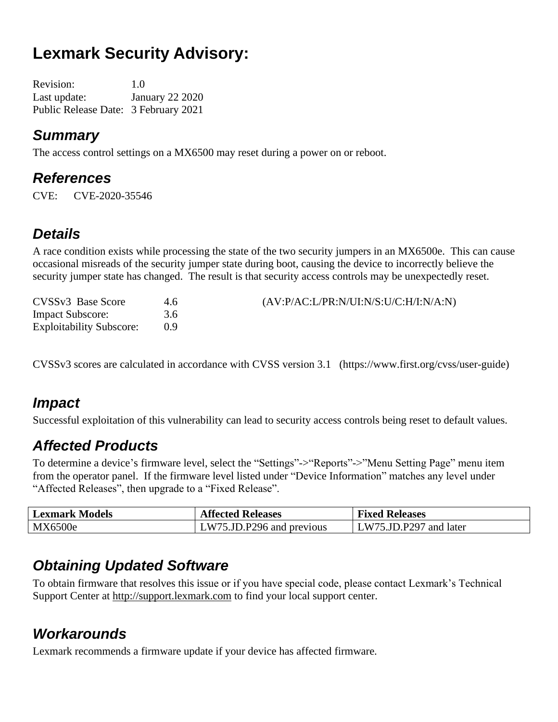# **Lexmark Security Advisory:**

Revision: 1.0 Last update: January 22 2020 Public Release Date: 3 February 2021

#### *Summary*

The access control settings on a MX6500 may reset during a power on or reboot.

### *References*

CVE: CVE-2020-35546

### *Details*

A race condition exists while processing the state of the two security jumpers in an MX6500e. This can cause occasional misreads of the security jumper state during boot, causing the device to incorrectly believe the security jumper state has changed. The result is that security access controls may be unexpectedly reset.

| CVSSv3 Base Score               | 4.6 | (AV:P/AC:L/PR:N/UI:N/S:U/C:H/I:N/A:N) |
|---------------------------------|-----|---------------------------------------|
| <b>Impact Subscore:</b>         | 3.6 |                                       |
| <b>Exploitability Subscore:</b> | ()Q |                                       |

CVSSv3 scores are calculated in accordance with CVSS version 3.1 (https://www.first.org/cvss/user-guide)

### *Impact*

Successful exploitation of this vulnerability can lead to security access controls being reset to default values.

### *Affected Products*

To determine a device's firmware level, select the "Settings"->"Reports"->"Menu Setting Page" menu item from the operator panel. If the firmware level listed under "Device Information" matches any level under "Affected Releases", then upgrade to a "Fixed Release".

| <b>Lexmark Models</b> | <b>Affected Releases</b>  | <b>Fixed Releases</b>  |
|-----------------------|---------------------------|------------------------|
| MX6500e               | LW75.JD.P296 and previous | LW75.JD.P297 and later |

#### *Obtaining Updated Software*

To obtain firmware that resolves this issue or if you have special code, please contact Lexmark's Technical Support Center at [http://support.lexmark.com](http://support.lexmark.com/) to find your local support center.

### *Workarounds*

Lexmark recommends a firmware update if your device has affected firmware.